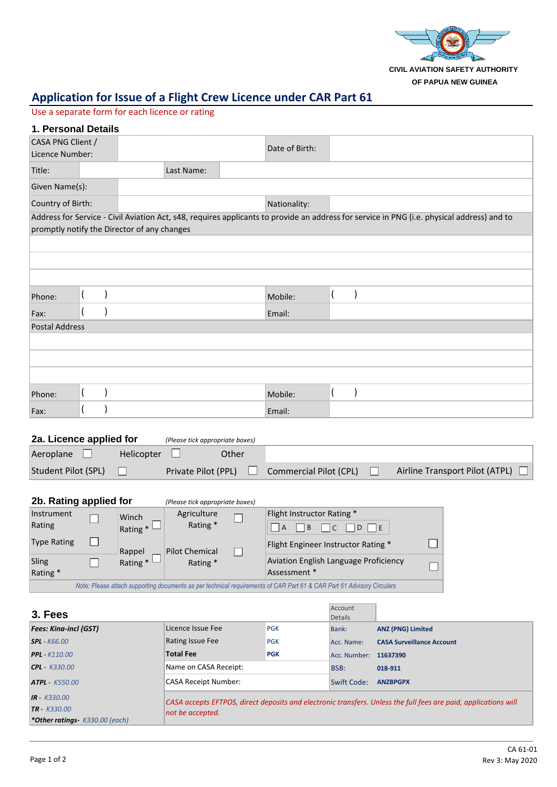

# **Application for Issue of a Flight Crew Licence under CAR Part 61**

#### Use a separate form for each licence or rating

| 1. Personal Details                  |  |                                             |            |  |                |                                                                                                                                            |
|--------------------------------------|--|---------------------------------------------|------------|--|----------------|--------------------------------------------------------------------------------------------------------------------------------------------|
| CASA PNG Client /<br>Licence Number: |  |                                             |            |  | Date of Birth: |                                                                                                                                            |
| Title:                               |  |                                             | Last Name: |  |                |                                                                                                                                            |
| Given Name(s):                       |  |                                             |            |  |                |                                                                                                                                            |
| Country of Birth:                    |  |                                             |            |  | Nationality:   |                                                                                                                                            |
|                                      |  | promptly notify the Director of any changes |            |  |                | Address for Service - Civil Aviation Act, s48, requires applicants to provide an address for service in PNG (i.e. physical address) and to |
|                                      |  |                                             |            |  |                |                                                                                                                                            |
|                                      |  |                                             |            |  |                |                                                                                                                                            |
|                                      |  |                                             |            |  |                |                                                                                                                                            |
| Phone:                               |  |                                             |            |  | Mobile:        |                                                                                                                                            |
| Fax:                                 |  |                                             |            |  | Email:         |                                                                                                                                            |
| <b>Postal Address</b>                |  |                                             |            |  |                |                                                                                                                                            |
|                                      |  |                                             |            |  |                |                                                                                                                                            |
|                                      |  |                                             |            |  |                |                                                                                                                                            |
|                                      |  |                                             |            |  |                |                                                                                                                                            |
| Phone:                               |  |                                             |            |  | Mobile:        |                                                                                                                                            |
| Fax:                                 |  |                                             |            |  | Email:         |                                                                                                                                            |
|                                      |  |                                             |            |  |                |                                                                                                                                            |

| 2a. Licence applied for | (Please tick appropriate boxes) |                     |       |                        |                                       |
|-------------------------|---------------------------------|---------------------|-------|------------------------|---------------------------------------|
| Aeroplane               | Helicopter                      |                     | Other |                        |                                       |
| Student Pilot (SPL)     |                                 | Private Pilot (PPL) |       | Commercial Pilot (CPL) | Airline Transport Pilot (ATPL) $\Box$ |

| 2b. Rating applied for                                                                                                 |  |            | (Please tick appropriate boxes) |                                              |  |  |  |
|------------------------------------------------------------------------------------------------------------------------|--|------------|---------------------------------|----------------------------------------------|--|--|--|
| Instrument                                                                                                             |  | Winch      | Agriculture                     | Flight Instructor Rating *                   |  |  |  |
| Rating                                                                                                                 |  | Rating $*$ | Rating *                        | D E<br>B<br>I A                              |  |  |  |
| <b>Type Rating</b>                                                                                                     |  | Rappel     | <b>Pilot Chemical</b>           | Flight Engineer Instructor Rating *          |  |  |  |
| Sling                                                                                                                  |  | Rating $*$ | Rating *                        | <b>Aviation English Language Proficiency</b> |  |  |  |
| Rating*                                                                                                                |  |            |                                 | Assessment *                                 |  |  |  |
| Note: Please attach supporting documents as per technical requirements of CAR Part 61 & CAR Part 61 Advisory Circulars |  |            |                                 |                                              |  |  |  |

| 3. Fees                                |                                                                                                                 | Account    |                       |                                  |  |  |  |  |
|----------------------------------------|-----------------------------------------------------------------------------------------------------------------|------------|-----------------------|----------------------------------|--|--|--|--|
|                                        |                                                                                                                 | Details    |                       |                                  |  |  |  |  |
| <b>Fees: Kina-incl (GST)</b>           | Licence Issue Fee                                                                                               | <b>PGK</b> | Bank:                 | <b>ANZ (PNG) Limited</b>         |  |  |  |  |
| $SPL - K66.00$                         | Rating Issue Fee                                                                                                | <b>PGK</b> | Acc. Name:            | <b>CASA Surveillance Account</b> |  |  |  |  |
| $PPL - K110.00$                        | <b>Total Fee</b>                                                                                                | <b>PGK</b> | Acc. Number: 11637390 |                                  |  |  |  |  |
| $CPL - K330.00$                        | Name on CASA Receipt:                                                                                           |            | BSB:                  | 018-911                          |  |  |  |  |
| $ATPL - K550.00$                       | CASA Receipt Number:                                                                                            |            | Swift Code:           | <b>ANZBPGPX</b>                  |  |  |  |  |
| $IR - K330.00$                         | CASA accepts EFTPOS, direct deposits and electronic transfers. Unless the full fees are paid, applications will |            |                       |                                  |  |  |  |  |
| $TR - K330.00$                         | not be accepted.                                                                                                |            |                       |                                  |  |  |  |  |
| <b>*Other ratings</b> $K330.00$ (each) |                                                                                                                 |            |                       |                                  |  |  |  |  |